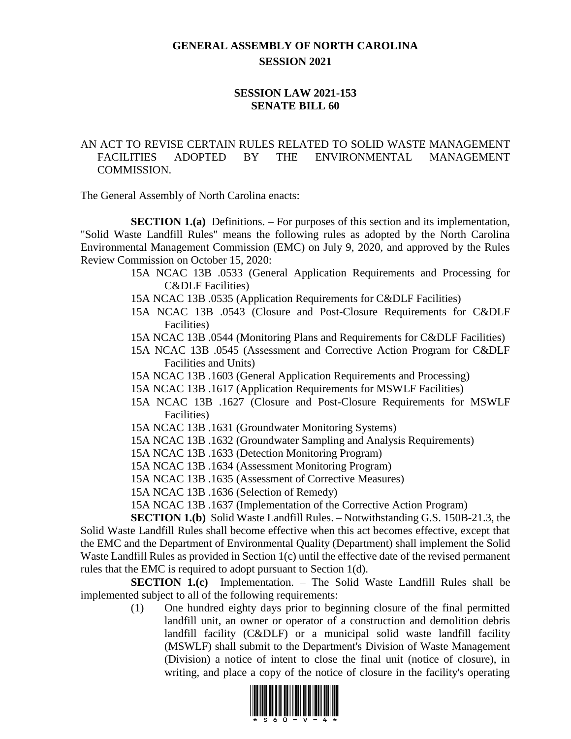## **GENERAL ASSEMBLY OF NORTH CAROLINA SESSION 2021**

## **SESSION LAW 2021-153 SENATE BILL 60**

## AN ACT TO REVISE CERTAIN RULES RELATED TO SOLID WASTE MANAGEMENT FACILITIES ADOPTED BY THE ENVIRONMENTAL MANAGEMENT COMMISSION.

The General Assembly of North Carolina enacts:

**SECTION 1.(a)** Definitions. – For purposes of this section and its implementation, "Solid Waste Landfill Rules" means the following rules as adopted by the North Carolina Environmental Management Commission (EMC) on July 9, 2020, and approved by the Rules Review Commission on October 15, 2020:

- 15A NCAC 13B .0533 (General Application Requirements and Processing for C&DLF Facilities)
- 15A NCAC 13B .0535 (Application Requirements for C&DLF Facilities)
- 15A NCAC 13B .0543 (Closure and Post-Closure Requirements for C&DLF Facilities)
- 15A NCAC 13B .0544 (Monitoring Plans and Requirements for C&DLF Facilities)
- 15A NCAC 13B .0545 (Assessment and Corrective Action Program for C&DLF Facilities and Units)
- 15A NCAC 13B .1603 (General Application Requirements and Processing)
- 15A NCAC 13B .1617 (Application Requirements for MSWLF Facilities)
- 15A NCAC 13B .1627 (Closure and Post-Closure Requirements for MSWLF Facilities)
- 15A NCAC 13B .1631 (Groundwater Monitoring Systems)
- 15A NCAC 13B .1632 (Groundwater Sampling and Analysis Requirements)
- 15A NCAC 13B .1633 (Detection Monitoring Program)
- 15A NCAC 13B .1634 (Assessment Monitoring Program)
- 15A NCAC 13B .1635 (Assessment of Corrective Measures)
- 15A NCAC 13B .1636 (Selection of Remedy)
- 15A NCAC 13B .1637 (Implementation of the Corrective Action Program)

**SECTION 1.(b)** Solid Waste Landfill Rules. – Notwithstanding G.S. 150B-21.3, the Solid Waste Landfill Rules shall become effective when this act becomes effective, except that the EMC and the Department of Environmental Quality (Department) shall implement the Solid Waste Landfill Rules as provided in Section 1(c) until the effective date of the revised permanent rules that the EMC is required to adopt pursuant to Section 1(d).

**SECTION 1.(c)** Implementation. – The Solid Waste Landfill Rules shall be implemented subject to all of the following requirements:

> (1) One hundred eighty days prior to beginning closure of the final permitted landfill unit, an owner or operator of a construction and demolition debris landfill facility (C&DLF) or a municipal solid waste landfill facility (MSWLF) shall submit to the Department's Division of Waste Management (Division) a notice of intent to close the final unit (notice of closure), in writing, and place a copy of the notice of closure in the facility's operating

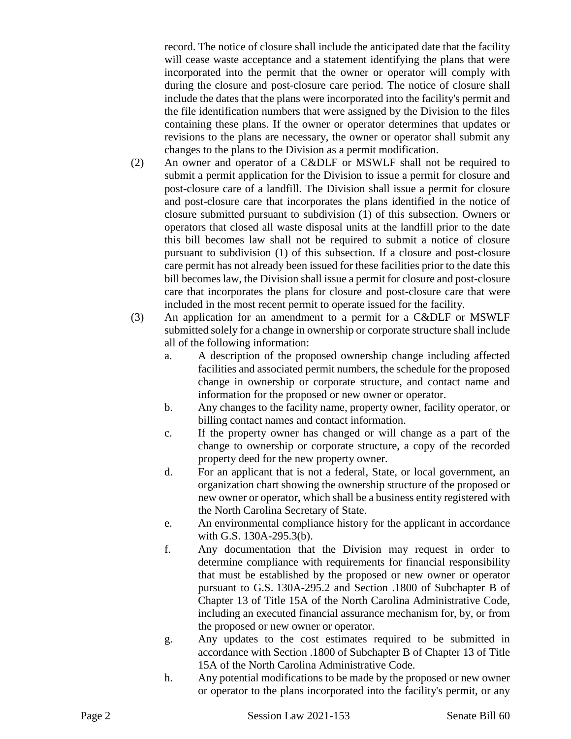record. The notice of closure shall include the anticipated date that the facility will cease waste acceptance and a statement identifying the plans that were incorporated into the permit that the owner or operator will comply with during the closure and post-closure care period. The notice of closure shall include the dates that the plans were incorporated into the facility's permit and the file identification numbers that were assigned by the Division to the files containing these plans. If the owner or operator determines that updates or revisions to the plans are necessary, the owner or operator shall submit any changes to the plans to the Division as a permit modification.

- (2) An owner and operator of a C&DLF or MSWLF shall not be required to submit a permit application for the Division to issue a permit for closure and post-closure care of a landfill. The Division shall issue a permit for closure and post-closure care that incorporates the plans identified in the notice of closure submitted pursuant to subdivision (1) of this subsection. Owners or operators that closed all waste disposal units at the landfill prior to the date this bill becomes law shall not be required to submit a notice of closure pursuant to subdivision (1) of this subsection. If a closure and post-closure care permit has not already been issued for these facilities prior to the date this bill becomes law, the Division shall issue a permit for closure and post-closure care that incorporates the plans for closure and post-closure care that were included in the most recent permit to operate issued for the facility.
- (3) An application for an amendment to a permit for a C&DLF or MSWLF submitted solely for a change in ownership or corporate structure shall include all of the following information:
	- a. A description of the proposed ownership change including affected facilities and associated permit numbers, the schedule for the proposed change in ownership or corporate structure, and contact name and information for the proposed or new owner or operator.
	- b. Any changes to the facility name, property owner, facility operator, or billing contact names and contact information.
	- c. If the property owner has changed or will change as a part of the change to ownership or corporate structure, a copy of the recorded property deed for the new property owner.
	- d. For an applicant that is not a federal, State, or local government, an organization chart showing the ownership structure of the proposed or new owner or operator, which shall be a business entity registered with the North Carolina Secretary of State.
	- e. An environmental compliance history for the applicant in accordance with G.S. 130A-295.3(b).
	- f. Any documentation that the Division may request in order to determine compliance with requirements for financial responsibility that must be established by the proposed or new owner or operator pursuant to G.S. 130A-295.2 and Section .1800 of Subchapter B of Chapter 13 of Title 15A of the North Carolina Administrative Code, including an executed financial assurance mechanism for, by, or from the proposed or new owner or operator.
	- g. Any updates to the cost estimates required to be submitted in accordance with Section .1800 of Subchapter B of Chapter 13 of Title 15A of the North Carolina Administrative Code.
	- h. Any potential modifications to be made by the proposed or new owner or operator to the plans incorporated into the facility's permit, or any